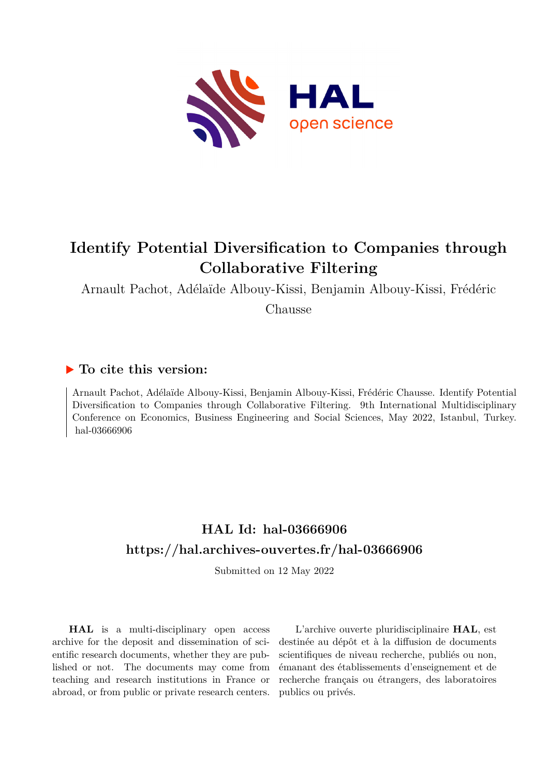

# **Identify Potential Diversification to Companies through Collaborative Filtering**

Arnault Pachot, Adélaïde Albouy-Kissi, Benjamin Albouy-Kissi, Frédéric

Chausse

## **To cite this version:**

Arnault Pachot, Adélaïde Albouy-Kissi, Benjamin Albouy-Kissi, Frédéric Chausse. Identify Potential Diversification to Companies through Collaborative Filtering. 9th International Multidisciplinary Conference on Economics, Business Engineering and Social Sciences, May 2022, Istanbul, Turkey. hal-03666906

## **HAL Id: hal-03666906 <https://hal.archives-ouvertes.fr/hal-03666906>**

Submitted on 12 May 2022

**HAL** is a multi-disciplinary open access archive for the deposit and dissemination of scientific research documents, whether they are published or not. The documents may come from teaching and research institutions in France or abroad, or from public or private research centers.

L'archive ouverte pluridisciplinaire **HAL**, est destinée au dépôt et à la diffusion de documents scientifiques de niveau recherche, publiés ou non, émanant des établissements d'enseignement et de recherche français ou étrangers, des laboratoires publics ou privés.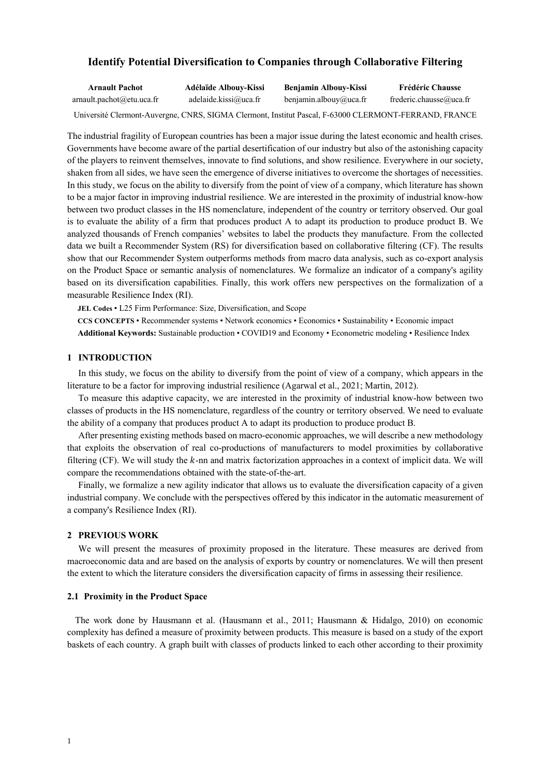## **Identify Potential Diversification to Companies through Collaborative Filtering**

| <b>Arnault Pachot</b>                                                                                 | Adélaïde Albouv-Kissi | <b>Benjamin Albouy-Kissi</b> | <b>Frédéric Chausse</b> |
|-------------------------------------------------------------------------------------------------------|-----------------------|------------------------------|-------------------------|
| arnault.pachot@etu.uca.fr                                                                             | adelaide.kissi@uca.fr | benjamin.albouy@uca.fr       | frederic.chausse@uca.fr |
| Université Clermont-Auvergne, CNRS, SIGMA Clermont, Institut Pascal, F-63000 CLERMONT-FERRAND, FRANCE |                       |                              |                         |

The industrial fragility of European countries has been a major issue during the latest economic and health crises. Governments have become aware of the partial desertification of our industry but also of the astonishing capacity of the players to reinvent themselves, innovate to find solutions, and show resilience. Everywhere in our society, shaken from all sides, we have seen the emergence of diverse initiatives to overcome the shortages of necessities. In this study, we focus on the ability to diversify from the point of view of a company, which literature has shown to be a major factor in improving industrial resilience. We are interested in the proximity of industrial know-how between two product classes in the HS nomenclature, independent of the country or territory observed. Our goal is to evaluate the ability of a firm that produces product A to adapt its production to produce product B. We analyzed thousands of French companies' websites to label the products they manufacture. From the collected data we built a Recommender System (RS) for diversification based on collaborative filtering (CF). The results show that our Recommender System outperforms methods from macro data analysis, such as co-export analysis on the Product Space or semantic analysis of nomenclatures. We formalize an indicator of a company's agility based on its diversification capabilities. Finally, this work offers new perspectives on the formalization of a measurable Resilience Index (RI).

**JEL Codes** • L25 Firm Performance: Size, Diversification, and Scope

**CCS CONCEPTS** • Recommender systems • Network economics • Economics • Sustainability • Economic impact

**Additional Keywords:** Sustainable production • COVID19 and Economy • Econometric modeling • Resilience Index

## **1 INTRODUCTION**

In this study, we focus on the ability to diversify from the point of view of a company, which appears in the literature to be a factor for improving industrial resilience (Agarwal et al., 2021; Martin, 2012).

To measure this adaptive capacity, we are interested in the proximity of industrial know-how between two classes of products in the HS nomenclature, regardless of the country or territory observed. We need to evaluate the ability of a company that produces product A to adapt its production to produce product B.

After presenting existing methods based on macro-economic approaches, we will describe a new methodology that exploits the observation of real co-productions of manufacturers to model proximities by collaborative filtering  $(CF)$ . We will study the  $k$ -nn and matrix factorization approaches in a context of implicit data. We will compare the recommendations obtained with the state-of-the-art.

Finally, we formalize a new agility indicator that allows us to evaluate the diversification capacity of a given industrial company. We conclude with the perspectives offered by this indicator in the automatic measurement of a company's Resilience Index (RI).

#### **2 PREVIOUS WORK**

We will present the measures of proximity proposed in the literature. These measures are derived from macroeconomic data and are based on the analysis of exports by country or nomenclatures. We will then present the extent to which the literature considers the diversification capacity of firms in assessing their resilience.

#### **2.1 Proximity in the Product Space**

The work done by Hausmann et al. (Hausmann et al., 2011; Hausmann & Hidalgo, 2010) on economic complexity has defined a measure of proximity between products. This measure is based on a study of the export baskets of each country. A graph built with classes of products linked to each other according to their proximity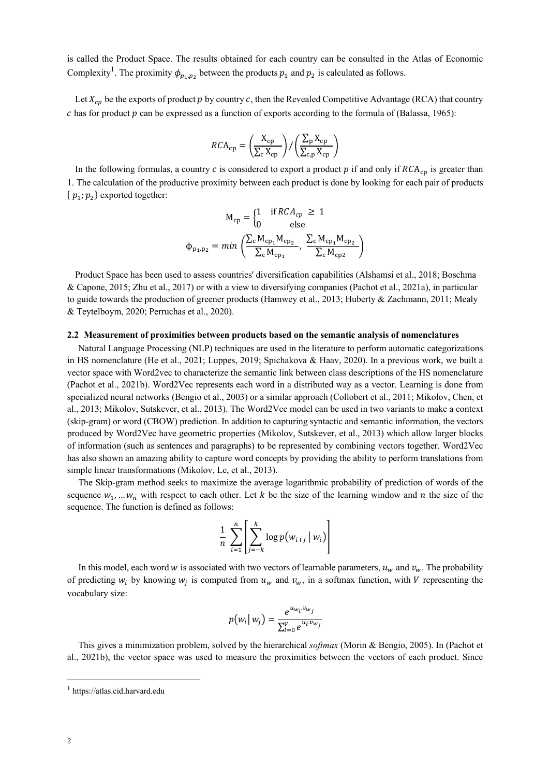is called the Product Space. The results obtained for each country can be consulted in the Atlas of Economic Complexity<sup>1</sup>. The proximity  $\phi_{p_1,p_2}$  between the products  $p_1$  and  $p_2$  is calculated as follows.

Let  $X_{cn}$  be the exports of product p by country c, then the Revealed Competitive Advantage (RCA) that country c has for product  $p$  can be expressed as a function of exports according to the formula of (Balassa, 1965):

$$
RCA_{cp} = \left(\frac{X_{cp}}{\sum_{c} X_{cp}}\right) / \left(\frac{\sum_{p} X_{cp}}{\sum_{c, p} X_{cp}}\right)
$$

In the following formulas, a country  $c$  is considered to export a product  $p$  if and only if  $RCA_{\rm cn}$  is greater than 1. The calculation of the productive proximity between each product is done by looking for each pair of products  ${p_1; p_2}$  exported together:

$$
M_{cp} = \begin{cases} 1 & \text{if } RCA_{cp} \ge 1\\ 0 & \text{else} \end{cases}
$$

$$
\phi_{p_1, p_2} = min\left(\frac{\sum_{c} M_{cp_1} M_{cp_2}}{\sum_{c} M_{cp_1}}, \frac{\sum_{c} M_{cp_1} M_{cp_2}}{\sum_{c} M_{cp2}}\right)
$$

Product Space has been used to assess countries' diversification capabilities (Alshamsi et al., 2018; Boschma & Capone, 2015; Zhu et al., 2017) or with a view to diversifying companies (Pachot et al., 2021a), in particular to guide towards the production of greener products (Hamwey et al., 2013; Huberty & Zachmann, 2011; Mealy & Teytelboym, 2020; Perruchas et al., 2020).

#### **2.2 Measurement of proximities between products based on the semantic analysis of nomenclatures**

Natural Language Processing (NLP) techniques are used in the literature to perform automatic categorizations in HS nomenclature (He et al., 2021; Luppes, 2019; Spichakova & Haav, 2020). In a previous work, we built a vector space with Word2vec to characterize the semantic link between class descriptions of the HS nomenclature (Pachot et al., 2021b). Word2Vec represents each word in a distributed way as a vector. Learning is done from specialized neural networks (Bengio et al., 2003) or a similar approach (Collobert et al., 2011; Mikolov, Chen, et al., 2013; Mikolov, Sutskever, et al., 2013). The Word2Vec model can be used in two variants to make a context (skip-gram) or word (CBOW) prediction. In addition to capturing syntactic and semantic information, the vectors produced by Word2Vec have geometric properties (Mikolov, Sutskever, et al., 2013) which allow larger blocks of information (such as sentences and paragraphs) to be represented by combining vectors together. Word2Vec has also shown an amazing ability to capture word concepts by providing the ability to perform translations from simple linear transformations (Mikolov, Le, et al., 2013).

The Skip-gram method seeks to maximize the average logarithmic probability of prediction of words of the sequence  $w_1, ..., w_n$  with respect to each other. Let k be the size of the learning window and n the size of the sequence. The function is defined as follows:

$$
\frac{1}{n}\sum_{i=1}^n\left[\sum_{j=-k}^k\log p(w_{i+j} | w_i)\right]
$$

In this model, each word w is associated with two vectors of learnable parameters,  $u_w$  and  $v_w$ . The probability of predicting  $w_i$  by knowing  $w_i$  is computed from  $u_w$  and  $v_w$ , in a softmax function, with V representing the vocabulary size:

$$
p(w_i | w_j) = \frac{e^{u_{w_i} \cdot v_{w_j}}}{\sum_{l=0}^{V} e^{u_l \cdot v_{w_j}}}
$$

This gives a minimization problem, solved by the hierarchical *softmax* (Morin & Bengio, 2005). In (Pachot et al., 2021b), the vector space was used to measure the proximities between the vectors of each product. Since

<sup>1</sup> https://atlas.cid.harvard.edu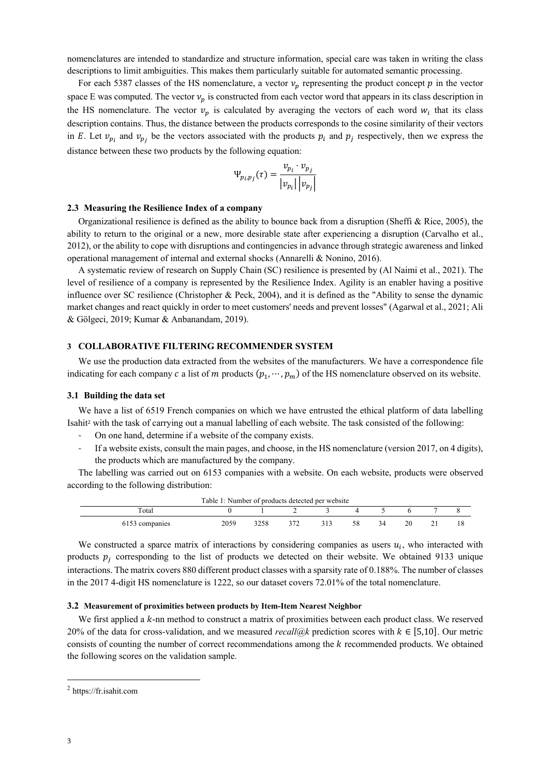nomenclatures are intended to standardize and structure information, special care was taken in writing the class descriptions to limit ambiguities. This makes them particularly suitable for automated semantic processing.

For each 5387 classes of the HS nomenclature, a vector  $v_p$  representing the product concept  $p$  in the vector space E was computed. The vector  $v_n$  is constructed from each vector word that appears in its class description in the HS nomenclature. The vector  $v_p$  is calculated by averaging the vectors of each word  $w_i$  that its class description contains. Thus, the distance between the products corresponds to the cosine similarity of their vectors in E. Let  $v_{p_i}$  and  $v_{p_i}$  be the vectors associated with the products  $p_i$  and  $p_j$  respectively, then we express the distance between these two products by the following equation:

$$
\Psi_{p_i p_j}(\tau) = \frac{\nu_{p_i} \cdot \nu_{p_j}}{|\nu_{p_i}| |\nu_{p_j}|}
$$

## **2.3 Measuring the Resilience Index of a company**

Organizational resilience is defined as the ability to bounce back from a disruption (Sheffi & Rice, 2005), the ability to return to the original or a new, more desirable state after experiencing a disruption (Carvalho et al., 2012), or the ability to cope with disruptions and contingencies in advance through strategic awareness and linked operational management of internal and external shocks (Annarelli & Nonino, 2016).

A systematic review of research on Supply Chain (SC) resilience is presented by (Al Naimi et al., 2021). The level of resilience of a company is represented by the Resilience Index. Agility is an enabler having a positive influence over SC resilience (Christopher & Peck, 2004), and it is defined as the "Ability to sense the dynamic market changes and react quickly in order to meet customers' needs and prevent losses" (Agarwal et al., 2021; Ali & Gölgeci, 2019; Kumar & Anbanandam, 2019).

#### **3 COLLABORATIVE FILTERING RECOMMENDER SYSTEM**

We use the production data extracted from the websites of the manufacturers. We have a correspondence file indicating for each company c a list of m products  $(p_1, \dots, p_m)$  of the HS nomenclature observed on its website.

#### **3.1 Building the data set**

We have a list of 6519 French companies on which we have entrusted the ethical platform of data labelling Isahit<sup>2</sup> with the task of carrying out a manual labelling of each website. The task consisted of the following:

- On one hand, determine if a website of the company exists.
- If a website exists, consult the main pages, and choose, in the HS nomenclature (version 2017, on 4 digits), the products which are manufactured by the company.

The labelling was carried out on 6153 companies with a website. On each website, products were observed according to the following distribution:

| Table 1: Number of products detected per website |      |      |  |     |     |    |    |  |  |
|--------------------------------------------------|------|------|--|-----|-----|----|----|--|--|
| Total                                            |      |      |  |     |     |    |    |  |  |
| 6153 companies                                   | 2059 | 3258 |  | 313 | 58. | 34 | 20 |  |  |

We constructed a sparce matrix of interactions by considering companies as users  $u_i$ , who interacted with products  $p_j$  corresponding to the list of products we detected on their website. We obtained 9133 unique interactions. The matrix covers 880 different product classes with a sparsity rate of 0.188%. The number of classes in the 2017 4-digit HS nomenclature is 1222, so our dataset covers 72.01% of the total nomenclature.

#### **3.2 Measurement of proximities between products by Item-Item Nearest Neighbor**

We first applied a  $k$ -nn method to construct a matrix of proximities between each product class. We reserved 20% of the data for cross-validation, and we measured *recall@k* prediction scores with  $k \in [5,10]$ . Our metric consists of counting the number of correct recommendations among the  $k$  recommended products. We obtained the following scores on the validation sample.

<sup>2</sup> https://fr.isahit.com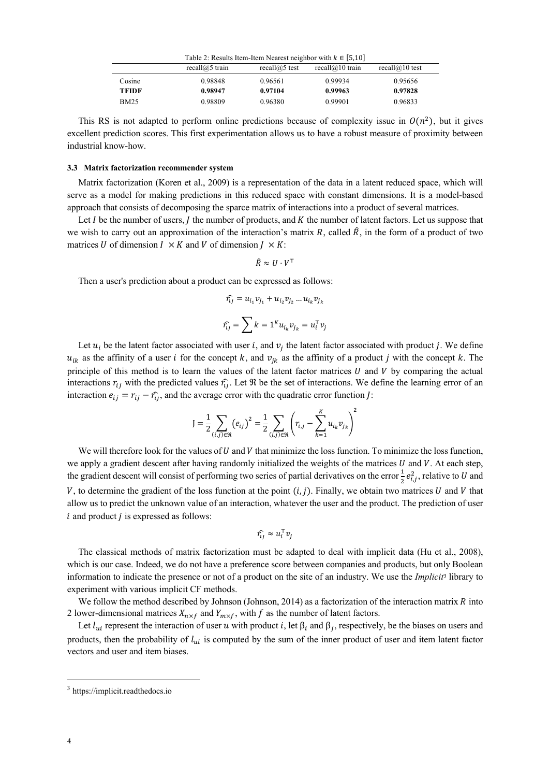| Table 2: Results Item-Item Nearest neighbor with $k \in [5,10]$ |                      |                     |                       |                      |
|-----------------------------------------------------------------|----------------------|---------------------|-----------------------|----------------------|
|                                                                 | recall $(a)$ 5 train | recall $(a)$ 5 test | recall $(a)$ 10 train | recall $(a)$ 10 test |
| Cosine                                                          | 0.98848              | 0.96561             | 0.99934               | 0.95656              |
| TFIDF                                                           | 0.98947              | 0.97104             | 0.99963               | 0.97828              |
| <b>BM25</b>                                                     | 0.98809              | 0.96380             | 0.99901               | 0.96833              |

This RS is not adapted to perform online predictions because of complexity issue in  $O(n^2)$ , but it gives excellent prediction scores. This first experimentation allows us to have a robust measure of proximity between industrial know-how.

## **3.3 Matrix factorization recommender system**

Matrix factorization (Koren et al., 2009) is a representation of the data in a latent reduced space, which will serve as a model for making predictions in this reduced space with constant dimensions. It is a model-based approach that consists of decomposing the sparce matrix of interactions into a product of several matrices.

Let  $I$  be the number of users,  $I$  the number of products, and  $K$  the number of latent factors. Let us suppose that we wish to carry out an approximation of the interaction's matrix R, called  $\hat{R}$ , in the form of a product of two matrices U of dimension  $I \times K$  and V of dimension  $J \times K$ :

$$
\hat{R} \approx U \cdot V^\top
$$

Then a user's prediction about a product can be expressed as follows:

$$
\hat{\eta}_j = u_{i_1} v_{j_1} + u_{i_2} v_{j_2} \dots u_{i_k} v_{j_k}
$$

$$
\hat{\eta}_j = \sum_k k = 1^k u_{i_k} v_{j_k} = u_i^{\mathsf{T}} v_j
$$

Let  $u_i$  be the latent factor associated with user i, and  $v_i$  the latent factor associated with product j. We define  $u_{ik}$  as the affinity of a user *i* for the concept k, and  $v_{ik}$  as the affinity of a product *j* with the concept k. The principle of this method is to learn the values of the latent factor matrices  $U$  and  $V$  by comparing the actual interactions  $r_{ij}$  with the predicted values  $\hat{r}_{ij}$ . Let  $\Re$  be the set of interactions. We define the learning error of an interaction  $e_{ij} = r_{ij} - \hat{r}_{ij}$ , and the average error with the quadratic error function *J*:

$$
J = \frac{1}{2} \sum_{(i,j) \in \mathfrak{R}} (e_{ij})^2 = \frac{1}{2} \sum_{(i,j) \in \mathfrak{R}} \left( r_{i,j} - \sum_{k=1}^K u_{i_k} v_{j_k} \right)^2
$$

We will therefore look for the values of  $U$  and  $V$  that minimize the loss function. To minimize the loss function, we apply a gradient descent after having randomly initialized the weights of the matrices  $U$  and  $V$ . At each step, the gradient descent will consist of performing two series of partial derivatives on the error  $\frac{1}{2}e_{i,j}^2$ , relative to U and V, to determine the gradient of the loss function at the point  $(i, j)$ . Finally, we obtain two matrices U and V that allow us to predict the unknown value of an interaction, whatever the user and the product. The prediction of user  $i$  and product  $j$  is expressed as follows:

$$
\hat{\eta}_j \approx u_i^{\mathsf{T}} v_j
$$

The classical methods of matrix factorization must be adapted to deal with implicit data (Hu et al., 2008), which is our case. Indeed, we do not have a preference score between companies and products, but only Boolean information to indicate the presence or not of a product on the site of an industry. We use the *Implicit*<sup>3</sup> library to experiment with various implicit CF methods.

We follow the method described by Johnson (Johnson, 2014) as a factorization of the interaction matrix  $R$  into 2 lower-dimensional matrices  $X_{n \times f}$  and  $Y_{m \times f}$ , with f as the number of latent factors.

Let  $l_{ui}$  represent the interaction of user u with product i, let  $\beta_i$  and  $\beta_j$ , respectively, be the biases on users and products, then the probability of  $l_{ui}$  is computed by the sum of the inner product of user and item latent factor vectors and user and item biases.

<sup>3</sup> https://implicit.readthedocs.io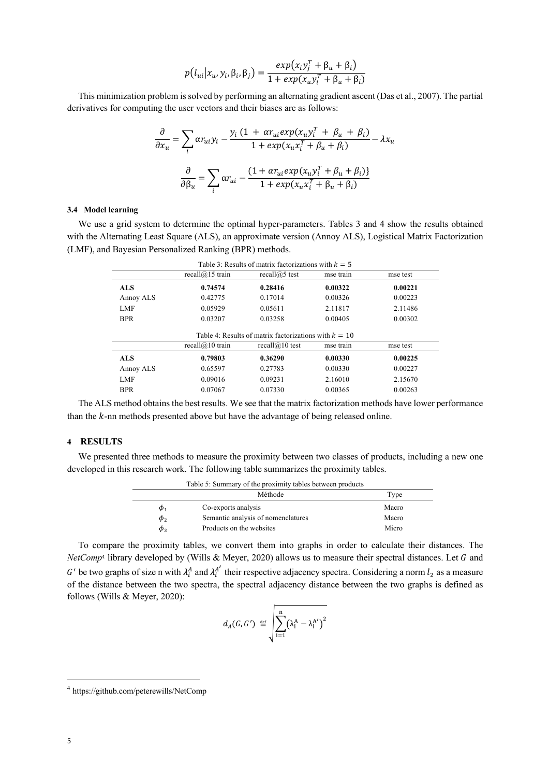$$
p(l_{ui}|x_u, y_i, \beta_i, \beta_j) = \frac{exp(x_i y_j^T + \beta_u + \beta_i)}{1 + exp(x_u y_i^T + \beta_u + \beta_i)}
$$

This minimization problem is solved by performing an alternating gradient ascent (Das et al., 2007). The partial derivatives for computing the user vectors and their biases are as follows:

$$
\frac{\partial}{\partial x_u} = \sum_i \alpha r_{ui} y_i - \frac{y_i (1 + \alpha r_{ui} exp(x_u y_i^T + \beta_u + \beta_i)}{1 + exp(x_u x_i^T + \beta_u + \beta_i)} - \lambda x_u
$$

$$
\frac{\partial}{\partial \beta_u} = \sum_i \alpha r_{ui} - \frac{(1 + \alpha r_{ui} exp(x_u y_i^T + \beta_u + \beta_i))}{1 + exp(x_u x_i^T + \beta_u + \beta_i)}
$$

## **3.4 Model learning**

We use a grid system to determine the optimal hyper-parameters. Tables 3 and 4 show the results obtained with the Alternating Least Square (ALS), an approximate version (Annoy ALS), Logistical Matrix Factorization (LMF), and Bayesian Personalized Ranking (BPR) methods.

|            | recall $@15$ train | recall $(a)$ 5 test                                                          | mse train | mse test |
|------------|--------------------|------------------------------------------------------------------------------|-----------|----------|
| <b>ALS</b> | 0.74574            | 0.28416                                                                      | 0.00322   | 0.00221  |
| Annoy ALS  | 0.42775            | 0.17014                                                                      | 0.00326   | 0.00223  |
| LMF        | 0.05929            | 0.05611                                                                      | 2.11817   | 2.11486  |
| <b>BPR</b> | 0.03207            | 0.03258                                                                      | 0.00405   | 0.00302  |
|            |                    |                                                                              |           |          |
|            | recall $@10$ train | Table 4: Results of matrix factorizations with $k = 10$<br>recall $@10$ test | mse train | mse test |
| <b>ALS</b> | 0.79803            | 0.36290                                                                      | 0.00330   | 0.00225  |
| Annoy ALS  | 0.65597            | 0.27783                                                                      | 0.00330   | 0.00227  |
| LMF        | 0.09016            | 0.09231                                                                      | 2.16010   | 2.15670  |

The ALS method obtains the best results. We see that the matrix factorization methods have lower performance than the  $k$ -nn methods presented above but have the advantage of being released online.

## **4 RESULTS**

We presented three methods to measure the proximity between two classes of products, including a new one developed in this research work. The following table summarizes the proximity tables.

|          | Table 5: Summary of the proximity tables between products |       |
|----------|-----------------------------------------------------------|-------|
|          | Méthode                                                   | Type  |
| $\phi_1$ | Co-exports analysis                                       | Macro |
| $\phi_2$ | Semantic analysis of nomenclatures                        | Macro |
| $\phi_3$ | Products on the websites                                  | Micro |

To compare the proximity tables, we convert them into graphs in order to calculate their distances. The *NetComp<sup>4</sup>* library developed by (Wills & Meyer, 2020) allows us to measure their spectral distances. Let G and G' be two graphs of size n with  $\lambda_i^A$  and  $\lambda_i^{A'}$  their respective adjacency spectra. Considering a norm  $l_2$  as a measure of the distance between the two spectra, the spectral adjacency distance between the two graphs is defined as follows (Wills & Meyer, 2020):

$$
d_A(G,G') \triangleq \sqrt{\sum_{i=1}^n (\lambda_i^A - \lambda_i^{A'})^2}
$$

<sup>4</sup> https://github.com/peterewills/NetComp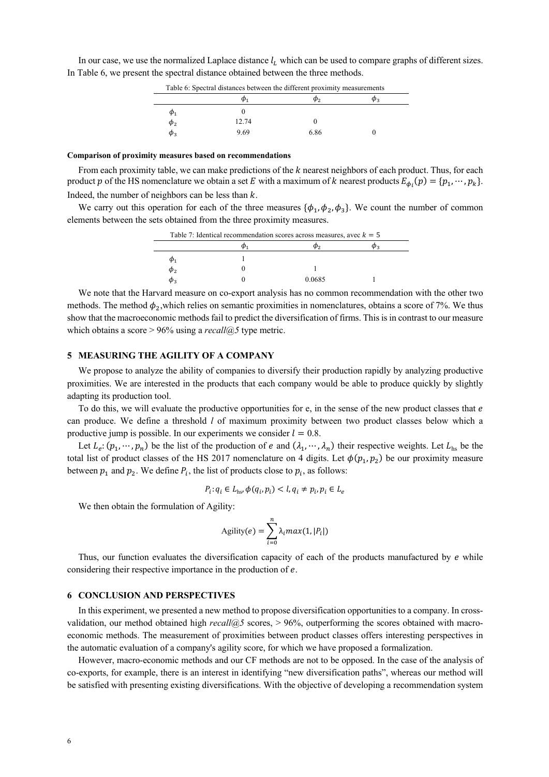In our case, we use the normalized Laplace distance  $l<sub>L</sub>$  which can be used to compare graphs of different sizes. In Table 6, we present the spectral distance obtained between the three methods.

| Table 6: Spectral distances between the different proximity measurements |  |
|--------------------------------------------------------------------------|--|
|--------------------------------------------------------------------------|--|

#### **Comparison of proximity measures based on recommendations**

From each proximity table, we can make predictions of the  $k$  nearest neighbors of each product. Thus, for each product p of the HS nomenclature we obtain a set E with a maximum of k nearest products  $E_{\phi_i}(p) = \{p_1, \dots, p_k\}.$ Indeed, the number of neighbors can be less than  $k$ .

We carry out this operation for each of the three measures  $\{\phi_1, \phi_2, \phi_3\}$ . We count the number of common elements between the sets obtained from the three proximity measures.

| Table 7: Identical recommendation scores across measures, avec $k = 5$ |  |        |  |
|------------------------------------------------------------------------|--|--------|--|
|                                                                        |  | ው∍     |  |
|                                                                        |  |        |  |
| $\varphi$                                                              |  |        |  |
|                                                                        |  | 0.0685 |  |

We note that the Harvard measure on co-export analysis has no common recommendation with the other two methods. The method  $\phi_2$ , which relies on semantic proximities in nomenclatures, obtains a score of 7%. We thus show that the macroeconomic methods fail to predict the diversification of firms. This isin contrast to our measure which obtains a score > 96% using a *recall* $@5$  type metric.

## **5 MEASURING THE AGILITY OF A COMPANY**

We propose to analyze the ability of companies to diversify their production rapidly by analyzing productive proximities. We are interested in the products that each company would be able to produce quickly by slightly adapting its production tool.

To do this, we will evaluate the productive opportunities for  $e$ , in the sense of the new product classes that  $e$ can produce. We define a threshold *l* of maximum proximity between two product classes below which a productive jump is possible. In our experiments we consider  $l = 0.8$ .

Let  $L_e: (p_1, \dots, p_n)$  be the list of the production of e and  $(\lambda_1, \dots, \lambda_n)$  their respective weights. Let  $L_{hs}$  be the total list of product classes of the HS 2017 nomenclature on 4 digits. Let  $\phi(p_1, p_2)$  be our proximity measure between  $p_1$  and  $p_2$ . We define  $P_i$ , the list of products close to  $p_i$ , as follows:

$$
P_i: q_i \in L_{\text{hs}}, \phi(q_i, p_i) < l, q_i \neq p_i, p_i \in L_e
$$

We then obtain the formulation of Agility:

$$
Agility(e) = \sum_{i=0}^{n} \lambda_i max(1, |P_i|)
$$

Thus, our function evaluates the diversification capacity of each of the products manufactured by  $e$  while considering their respective importance in the production of  $e$ .

#### **6 CONCLUSION AND PERSPECTIVES**

In this experiment, we presented a new method to propose diversification opportunities to a company. In crossvalidation, our method obtained high *recall@5* scores, > 96%, outperforming the scores obtained with macroeconomic methods. The measurement of proximities between product classes offers interesting perspectives in the automatic evaluation of a company's agility score, for which we have proposed a formalization.

However, macro-economic methods and our CF methods are not to be opposed. In the case of the analysis of co-exports, for example, there is an interest in identifying "new diversification paths", whereas our method will be satisfied with presenting existing diversifications. With the objective of developing a recommendation system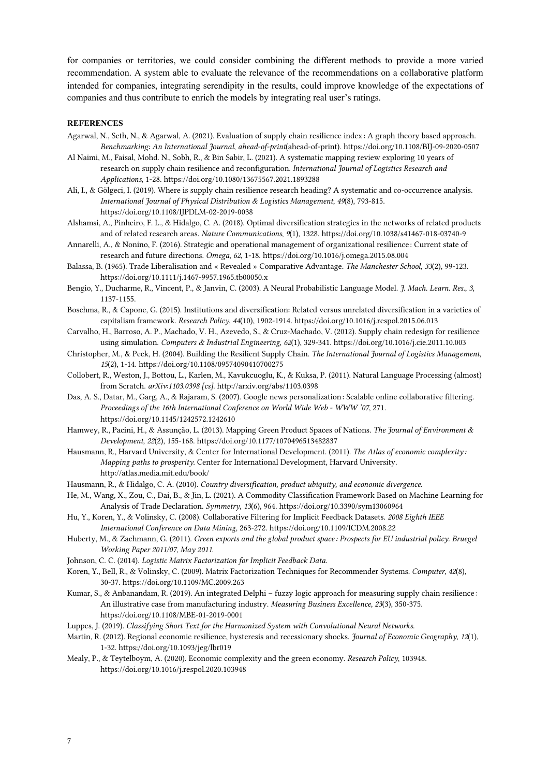for companies or territories, we could consider combining the different methods to provide a more varied recommendation. A system able to evaluate the relevance of the recommendations on a collaborative platform intended for companies, integrating serendipity in the results, could improve knowledge of the expectations of companies and thus contribute to enrich the models by integrating real user's ratings.

#### **REFERENCES**

- Agarwal, N., Seth, N., & Agarwal, A. (2021). Evaluation of supply chain resilience index: A graph theory based approach. *Benchmarking: An International Journal*, *ahead-of-print*(ahead-of-print). https://doi.org/10.1108/BIJ-09-2020-0507
- Al Naimi, M., Faisal, Mohd. N., Sobh, R., & Bin Sabir, L. (2021). A systematic mapping review exploring 10 years of research on supply chain resilience and reconfiguration. *International Journal of Logistics Research and Applications*, 1‑28. https://doi.org/10.1080/13675567.2021.1893288
- Ali, I., & Gölgeci, I. (2019). Where is supply chain resilience research heading? A systematic and co-occurrence analysis. *International Journal of Physical Distribution & Logistics Management*, *49*(8), 793‑815. https://doi.org/10.1108/IJPDLM-02-2019-0038
- Alshamsi, A., Pinheiro, F. L., & Hidalgo, C. A. (2018). Optimal diversification strategies in the networks of related products and of related research areas. *Nature Communications*, *9*(1), 1328. https://doi.org/10.1038/s41467-018-03740-9
- Annarelli, A., & Nonino, F. (2016). Strategic and operational management of organizational resilience : Current state of research and future directions. *Omega*, *62*, 1‑18. https://doi.org/10.1016/j.omega.2015.08.004
- Balassa, B. (1965). Trade Liberalisation and « Revealed » Comparative Advantage. *The Manchester School*, *33*(2), 99‑123. https://doi.org/10.1111/j.1467-9957.1965.tb00050.x
- Bengio, Y., Ducharme, R., Vincent, P., & Janvin, C. (2003). A Neural Probabilistic Language Model. *J. Mach. Learn. Res.*, *3*, 1137‑1155.
- Boschma, R., & Capone, G. (2015). Institutions and diversification: Related versus unrelated diversification in a varieties of capitalism framework. *Research Policy*, *44*(10), 1902‑1914. https://doi.org/10.1016/j.respol.2015.06.013
- Carvalho, H., Barroso, A. P., Machado, V. H., Azevedo, S., & Cruz-Machado, V. (2012). Supply chain redesign for resilience using simulation. *Computers & Industrial Engineering*, *62*(1), 329‑341. https://doi.org/10.1016/j.cie.2011.10.003
- Christopher, M., & Peck, H. (2004). Building the Resilient Supply Chain. *The International Journal of Logistics Management*, *15*(2), 1‑14. https://doi.org/10.1108/09574090410700275
- Collobert, R., Weston, J., Bottou, L., Karlen, M., Kavukcuoglu, K., & Kuksa, P. (2011). Natural Language Processing (almost) from Scratch. *arXiv:1103.0398 [cs]*. http://arxiv.org/abs/1103.0398
- Das, A. S., Datar, M., Garg, A., & Rajaram, S. (2007). Google news personalization: Scalable online collaborative filtering. *Proceedings of the 16th International Conference on World Wide Web - WWW '07*, 271. https://doi.org/10.1145/1242572.1242610
- Hamwey, R., Pacini, H., & Assunção, L. (2013). Mapping Green Product Spaces of Nations. *The Journal of Environment & Development*, *22*(2), 155‑168. https://doi.org/10.1177/1070496513482837
- Hausmann, R., Harvard University, & Center for International Development. (2011). *The Atlas of economic complexity : Mapping paths to prosperity*. Center for International Development, Harvard University. http://atlas.media.mit.edu/book/
- Hausmann, R., & Hidalgo, C. A. (2010). *Country diversification, product ubiquity, and economic divergence*.
- He, M., Wang, X., Zou, C., Dai, B., & Jin, L. (2021). A Commodity Classification Framework Based on Machine Learning for Analysis of Trade Declaration. *Symmetry*, *13*(6), 964. https://doi.org/10.3390/sym13060964
- Hu, Y., Koren, Y., & Volinsky, C. (2008). Collaborative Filtering for Implicit Feedback Datasets. *2008 Eighth IEEE International Conference on Data Mining*, 263‑272. https://doi.org/10.1109/ICDM.2008.22
- Huberty, M., & Zachmann, G. (2011). *Green exports and the global product space : Prospects for EU industrial policy. Bruegel Working Paper 2011/07, May 2011*.
- Johnson, C. C. (2014). *Logistic Matrix Factorization for Implicit Feedback Data*.
- Koren, Y., Bell, R., & Volinsky, C. (2009). Matrix Factorization Techniques for Recommender Systems. *Computer*, *42*(8), 30‑37. https://doi.org/10.1109/MC.2009.263
- Kumar, S., & Anbanandam, R. (2019). An integrated Delphi fuzzy logic approach for measuring supply chain resilience : An illustrative case from manufacturing industry. *Measuring Business Excellence*, *23*(3), 350‑375. https://doi.org/10.1108/MBE-01-2019-0001
- Luppes, J. (2019). *Classifying Short Text for the Harmonized System with Convolutional Neural Networks*.
- Martin, R. (2012). Regional economic resilience, hysteresis and recessionary shocks. *Journal of Economic Geography*, *12*(1), 1‑32. https://doi.org/10.1093/jeg/lbr019
- Mealy, P., & Teytelboym, A. (2020). Economic complexity and the green economy. *Research Policy*, 103948. https://doi.org/10.1016/j.respol.2020.103948